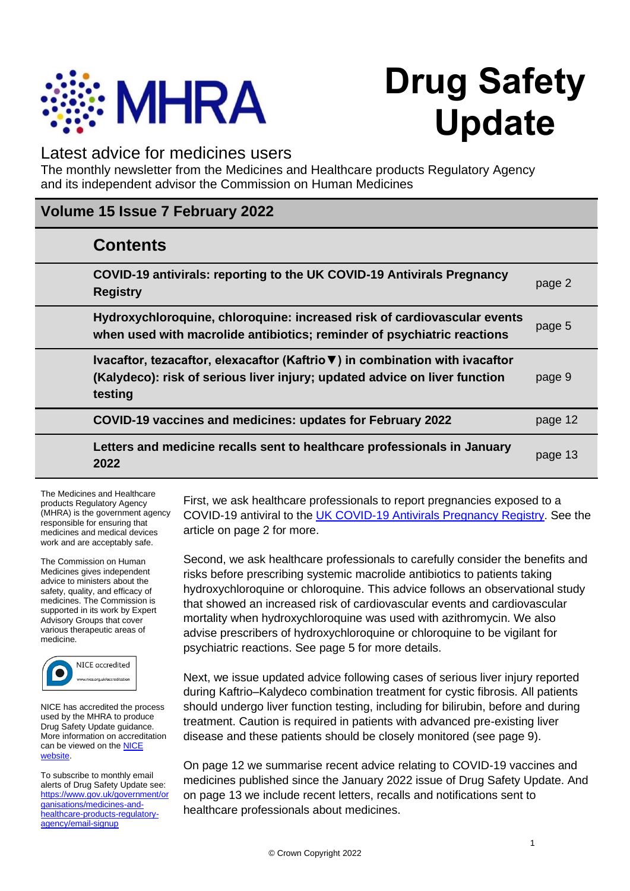

# **Drug Safety Update**

# Latest advice for medicines users

The monthly newsletter from the Medicines and Healthcare products Regulatory Agency and its independent advisor the Commission on Human Medicines

# **Volume 15 Issue 7 February 2022**

| <b>Contents</b>                                                                                                                                                       |         |
|-----------------------------------------------------------------------------------------------------------------------------------------------------------------------|---------|
| COVID-19 antivirals: reporting to the UK COVID-19 Antivirals Pregnancy<br><b>Registry</b>                                                                             | page 2  |
| Hydroxychloroquine, chloroquine: increased risk of cardiovascular events<br>when used with macrolide antibiotics; reminder of psychiatric reactions                   | page 5  |
| Ivacaftor, tezacaftor, elexacaftor (Kaftrio ▼) in combination with ivacaftor<br>(Kalydeco): risk of serious liver injury; updated advice on liver function<br>testing | page 9  |
| COVID-19 vaccines and medicines: updates for February 2022                                                                                                            | page 12 |
| Letters and medicine recalls sent to healthcare professionals in January<br>2022                                                                                      | page 13 |

The Medicines and Healthcare products Regulatory Agency (MHRA) is the government agency responsible for ensuring that medicines and medical devices work and are acceptably safe.

The Commission on Human Medicines gives independent advice to ministers about the safety, quality, and efficacy of medicines. The Commission is supported in its work by Expert Advisory Groups that cover various therapeutic areas of medicine.



NICE has accredited the process used by the MHRA to produce Drug Safety Update guidance. More information on accreditation can be viewed on the **NICE** [website.](http://www.nice.org.uk/about/what-we-do/accreditation) 

To subscribe to monthly email alerts of Drug Safety Update see: [https://www.gov.uk/government/or](https://www.gov.uk/government/organisations/medicines-and-healthcare-products-regulatory-agency/email-signup) [ganisations/medicines-and](https://www.gov.uk/government/organisations/medicines-and-healthcare-products-regulatory-agency/email-signup)[healthcare-products-regulatory](https://www.gov.uk/government/organisations/medicines-and-healthcare-products-regulatory-agency/email-signup)[agency/email-signup](https://www.gov.uk/government/organisations/medicines-and-healthcare-products-regulatory-agency/email-signup)

First, we ask healthcare professionals to report pregnancies exposed to a COVID-19 antiviral to the [UK COVID-19 Antivirals Pregnancy Registry.](http://www.medicinesinpregnancy.org/COVID-19-Antivirals-Pregnancy-Registry) See the article on page 2 for more.

Second, we ask healthcare professionals to carefully consider the benefits and risks before prescribing systemic macrolide antibiotics to patients taking hydroxychloroquine or chloroquine. This advice follows an observational study that showed an increased risk of cardiovascular events and cardiovascular mortality when hydroxychloroquine was used with azithromycin. We also advise prescribers of hydroxychloroquine or chloroquine to be vigilant for psychiatric reactions. See page 5 for more details.

Next, we issue updated advice following cases of serious liver injury reported during Kaftrio–Kalydeco combination treatment for cystic fibrosis. All patients should undergo liver function testing, including for bilirubin, before and during treatment. Caution is required in patients with advanced pre-existing liver disease and these patients should be closely monitored (see page 9).

On page 12 we summarise recent advice relating to COVID-19 vaccines and medicines published since the January 2022 issue of Drug Safety Update. And on page 13 we include recent letters, recalls and notifications sent to healthcare professionals about medicines.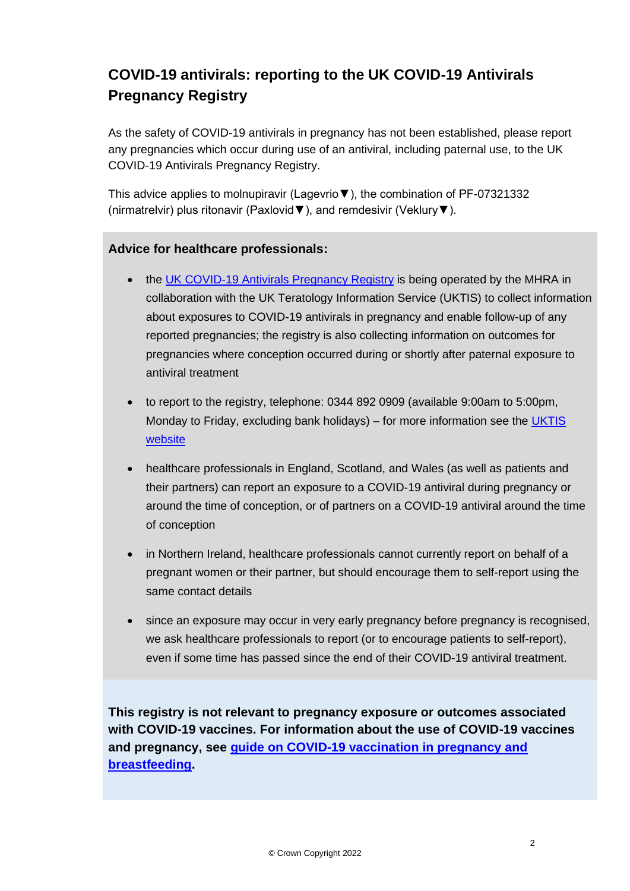# **COVID-19 antivirals: reporting to the UK COVID-19 Antivirals Pregnancy Registry**

As the safety of COVID-19 antivirals in pregnancy has not been established, please report any pregnancies which occur during use of an antiviral, including paternal use, to the UK COVID-19 Antivirals Pregnancy Registry.

This advice applies to molnupiravir (Lagevrio▼), the combination of PF-07321332 (nirmatrelvir) plus ritonavir (Paxlovid▼), and remdesivir (Veklury▼).

### **Advice for healthcare professionals:**

- the [UK COVID-19 Antivirals Pregnancy Registry](https://www.medicinesinpregnancy.org/bumps/COVID-19-Antivirals-Pregnancy-Registry/) is being operated by the MHRA in collaboration with the UK Teratology Information Service (UKTIS) to collect information about exposures to COVID-19 antivirals in pregnancy and enable follow-up of any reported pregnancies; the registry is also collecting information on outcomes for pregnancies where conception occurred during or shortly after paternal exposure to antiviral treatment
- to report to the registry, telephone: 0344 892 0909 (available 9:00am to 5:00pm, Monday to Friday, excluding bank holidays) – for more information see the [UKTIS](https://www.medicinesinpregnancy.org/bumps/COVID-19-Antivirals-Pregnancy-Registry/)  [website](https://www.medicinesinpregnancy.org/bumps/COVID-19-Antivirals-Pregnancy-Registry/)
- healthcare professionals in England, Scotland, and Wales (as well as patients and their partners) can report an exposure to a COVID-19 antiviral during pregnancy or around the time of conception, or of partners on a COVID-19 antiviral around the time of conception
- in Northern Ireland, healthcare professionals cannot currently report on behalf of a pregnant women or their partner, but should encourage them to self-report using the same contact details
- since an exposure may occur in very early pregnancy before pregnancy is recognised, we ask healthcare professionals to report (or to encourage patients to self-report), even if some time has passed since the end of their COVID-19 antiviral treatment.

**This registry is not relevant to pregnancy exposure or outcomes associated with COVID-19 vaccines. For information about the use of COVID-19 vaccines and pregnancy, see [guide on COVID-19 vaccination in pregnancy and](https://www.gov.uk/government/publications/covid-19-vaccination-women-of-childbearing-age-currently-pregnant-planning-a-pregnancy-or-breastfeeding/covid-19-vaccination-a-guide-for-women-of-childbearing-age-pregnant-planning-a-pregnancy-or-breastfeeding)  [breastfeeding.](https://www.gov.uk/government/publications/covid-19-vaccination-women-of-childbearing-age-currently-pregnant-planning-a-pregnancy-or-breastfeeding/covid-19-vaccination-a-guide-for-women-of-childbearing-age-pregnant-planning-a-pregnancy-or-breastfeeding)**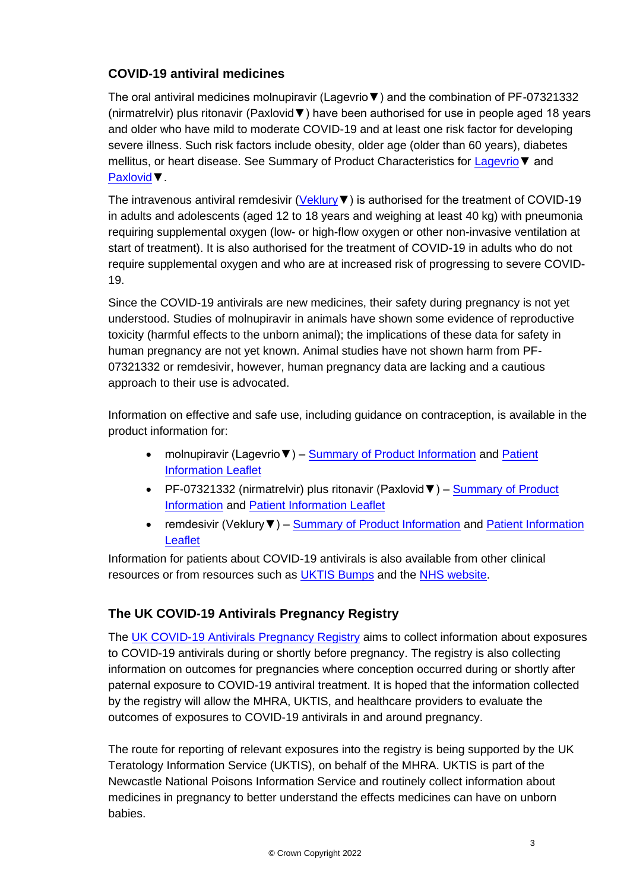# **COVID-19 antiviral medicines**

The oral antiviral medicines molnupiravir (Lagevrio▼) and the combination of PF-07321332 (nirmatrelvir) plus ritonavir (Paxlovid▼) have been authorised for use in people aged 18 years and older who have mild to moderate COVID-19 and at least one risk factor for developing severe illness. Such risk factors include obesity, older age (older than 60 years), diabetes mellitus, or heart disease. See Summary of Product Characteristics for [Lagevrio▼](https://www.gov.uk/government/publications/regulatory-approval-of-lagevrio-molnupiravir) and [Paxlovid▼](https://www.gov.uk/government/publications/regulatory-approval-of-paxlovid).

The intravenous antiviral remdesivir (Veklury V) is authorised for the treatment of COVID-19 in adults and adolescents (aged 12 to 18 years and weighing at least 40 kg) with pneumonia requiring supplemental oxygen (low- or high-flow oxygen or other non-invasive ventilation at start of treatment). It is also authorised for the treatment of COVID-19 in adults who do not require supplemental oxygen and who are at increased risk of progressing to severe COVID-19.

Since the COVID-19 antivirals are new medicines, their safety during pregnancy is not yet understood. Studies of molnupiravir in animals have shown some evidence of reproductive toxicity (harmful effects to the unborn animal); the implications of these data for safety in human pregnancy are not yet known. Animal studies have not shown harm from PF-07321332 or remdesivir, however, human pregnancy data are lacking and a cautious approach to their use is advocated.

Information on effective and safe use, including guidance on contraception, is available in the product information for:

- molnupiravir (Lagevrio ▼) [Summary of Product Information](https://www.gov.uk/government/publications/regulatory-approval-of-lagevrio-molnupiravir) and Patient [Information Leaflet](https://www.gov.uk/government/publications/regulatory-approval-of-lagevrio-molnupiravir)
- PF-07321332 (nirmatrelvir) plus ritonavir (Paxlovid V) Summary of Product [Information](https://www.gov.uk/government/publications/regulatory-approval-of-paxlovid) and [Patient Information Leaflet](https://www.gov.uk/government/publications/regulatory-approval-of-paxlovid)
- remdesivir (Veklury  $\blacktriangledown$ ) [Summary of Product Information](https://www.medicines.org.uk/emc/product/11597/smpc) and Patient Information [Leaflet](https://www.medicines.org.uk/emc/product/11597/pil)

Information for patients about COVID-19 antivirals is also available from other clinical resources or from resources such as [UKTIS Bumps](https://medicinesinpregnancy.org/bumps/monographs/MEDICATIONS-USED-TO-TREAT-COVID-19-IN-PREGNANCY/) and the [NHS website.](https://www.nhs.uk/conditions/coronavirus-covid-19/treatments-for-coronavirus/)

# **The UK COVID-19 Antivirals Pregnancy Registry**

The [UK COVID-19 Antivirals Pregnancy Registry](http://www.medicinesinpregnancy.org/COVID-19-Antivirals-Pregnancy-Registry) aims to collect information about exposures to COVID-19 antivirals during or shortly before pregnancy. The registry is also collecting information on outcomes for pregnancies where conception occurred during or shortly after paternal exposure to COVID-19 antiviral treatment. It is hoped that the information collected by the registry will allow the MHRA, UKTIS, and healthcare providers to evaluate the outcomes of exposures to COVID-19 antivirals in and around pregnancy.

The route for reporting of relevant exposures into the registry is being supported by the UK Teratology Information Service (UKTIS), on behalf of the MHRA. UKTIS is part of the Newcastle National Poisons Information Service and routinely collect information about medicines in pregnancy to better understand the effects medicines can have on unborn babies.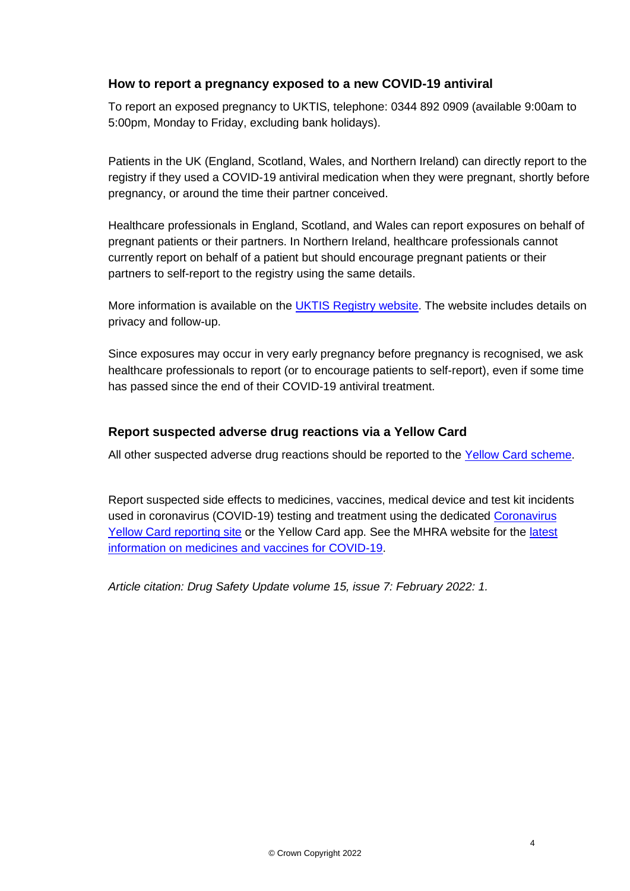### **How to report a pregnancy exposed to a new COVID-19 antiviral**

To report an exposed pregnancy to UKTIS, telephone: 0344 892 0909 (available 9:00am to 5:00pm, Monday to Friday, excluding bank holidays).

Patients in the UK (England, Scotland, Wales, and Northern Ireland) can directly report to the registry if they used a COVID-19 antiviral medication when they were pregnant, shortly before pregnancy, or around the time their partner conceived.

Healthcare professionals in England, Scotland, and Wales can report exposures on behalf of pregnant patients or their partners. In Northern Ireland, healthcare professionals cannot currently report on behalf of a patient but should encourage pregnant patients or their partners to self-report to the registry using the same details.

More information is available on the [UKTIS Registry website.](http://www.medicinesinpregnancy.org/COVID-19-Antivirals-Pregnancy-Registry) The website includes details on privacy and follow-up.

Since exposures may occur in very early pregnancy before pregnancy is recognised, we ask healthcare professionals to report (or to encourage patients to self-report), even if some time has passed since the end of their COVID-19 antiviral treatment.

### **Report suspected adverse drug reactions via a Yellow Card**

All other suspected adverse drug reactions should be reported to the [Yellow Card scheme.](https://yellowcard.mhra.gov.uk/)

Report suspected side effects to medicines, vaccines, medical device and test kit incidents used in coronavirus (COVID-19) testing and treatment using the dedicated [Coronavirus](https://coronavirus-yellowcard.mhra.gov.uk/)  [Yellow Card reporting site](https://coronavirus-yellowcard.mhra.gov.uk/) or the Yellow Card app. See the MHRA website for the [latest](https://www.gov.uk/government/collections/mhra-guidance-on-coronavirus-covid-19)  [information on medicines and vaccines for COVID-19.](https://www.gov.uk/government/collections/mhra-guidance-on-coronavirus-covid-19)

*Article citation: Drug Safety Update volume 15, issue 7: February 2022: 1.*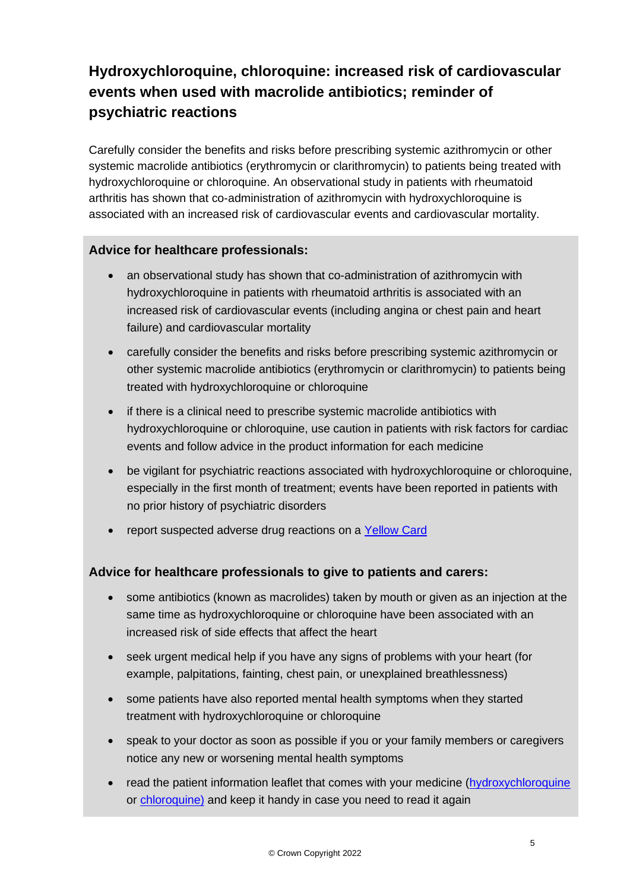# **Hydroxychloroquine, chloroquine: increased risk of cardiovascular events when used with macrolide antibiotics; reminder of psychiatric reactions**

Carefully consider the benefits and risks before prescribing systemic azithromycin or other systemic macrolide antibiotics (erythromycin or clarithromycin) to patients being treated with hydroxychloroquine or chloroquine. An observational study in patients with rheumatoid arthritis has shown that co-administration of azithromycin with hydroxychloroquine is associated with an increased risk of cardiovascular events and cardiovascular mortality.

### **Advice for healthcare professionals:**

- an observational study has shown that co-administration of azithromycin with hydroxychloroquine in patients with rheumatoid arthritis is associated with an increased risk of cardiovascular events (including angina or chest pain and heart failure) and cardiovascular mortality
- carefully consider the benefits and risks before prescribing systemic azithromycin or other systemic macrolide antibiotics (erythromycin or clarithromycin) to patients being treated with hydroxychloroquine or chloroquine
- if there is a clinical need to prescribe systemic macrolide antibiotics with hydroxychloroquine or chloroquine, use caution in patients with risk factors for cardiac events and follow advice in the product information for each medicine
- be vigilant for psychiatric reactions associated with hydroxychloroquine or chloroquine, especially in the first month of treatment; events have been reported in patients with no prior history of psychiatric disorders
- report suspected adverse drug reactions on a [Yellow Card](http://www.mhra.gov.uk/yellowcard)

# **Advice for healthcare professionals to give to patients and carers:**

- some antibiotics (known as macrolides) taken by mouth or given as an injection at the same time as hydroxychloroquine or chloroquine have been associated with an increased risk of side effects that affect the heart
- seek urgent medical help if you have any signs of problems with your heart (for example, palpitations, fainting, chest pain, or unexplained breathlessness)
- some patients have also reported mental health symptoms when they started treatment with hydroxychloroquine or chloroquine
- speak to your doctor as soon as possible if you or your family members or caregivers notice any new or worsening mental health symptoms
- read the patient information leaflet that comes with your medicine [\(hydroxychloroquine](https://www.medicines.org.uk/emc/product/11326/pil) or [chloroquine\)](https://www.medicines.org.uk/emc/product/5490/pil) and keep it handy in case you need to read it again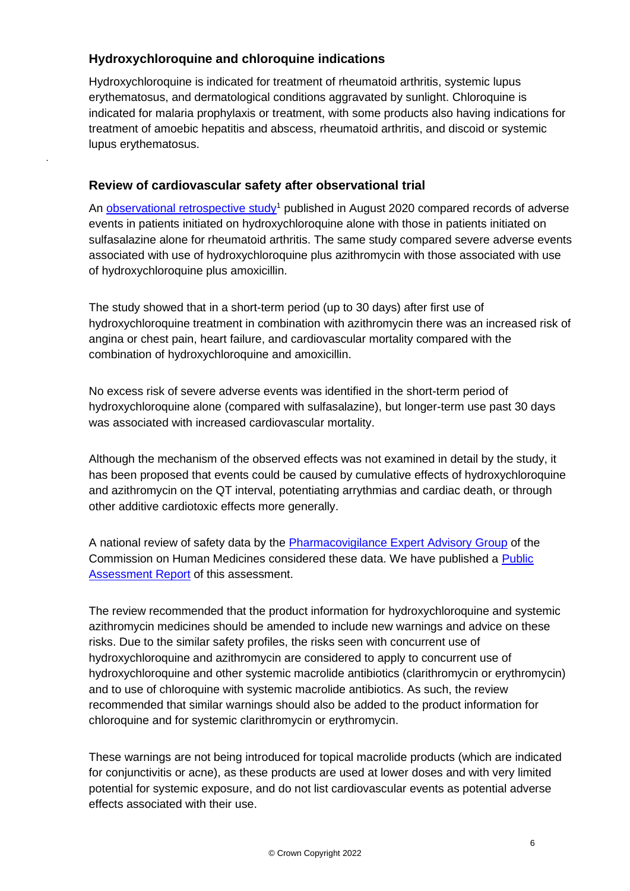# **Hydroxychloroquine and chloroquine indications**

.

Hydroxychloroquine is indicated for treatment of rheumatoid arthritis, systemic lupus erythematosus, and dermatological conditions aggravated by sunlight. Chloroquine is indicated for malaria prophylaxis or treatment, with some products also having indications for treatment of amoebic hepatitis and abscess, rheumatoid arthritis, and discoid or systemic lupus erythematosus.

### **Review of cardiovascular safety after observational trial**

An [observational retrospective study](https://www.thelancet.com/journals/lanrhe/article/PIIS2665-9913(20)30276-9/fulltext)<sup>1</sup> published in August 2020 compared records of adverse events in patients initiated on hydroxychloroquine alone with those in patients initiated on sulfasalazine alone for rheumatoid arthritis. The same study compared severe adverse events associated with use of hydroxychloroquine plus azithromycin with those associated with use of hydroxychloroquine plus amoxicillin.

The study showed that in a short-term period (up to 30 days) after first use of hydroxychloroquine treatment in combination with azithromycin there was an increased risk of angina or chest pain, heart failure, and cardiovascular mortality compared with the combination of hydroxychloroquine and amoxicillin.

No excess risk of severe adverse events was identified in the short-term period of hydroxychloroquine alone (compared with sulfasalazine), but longer-term use past 30 days was associated with increased cardiovascular mortality.

Although the mechanism of the observed effects was not examined in detail by the study, it has been proposed that events could be caused by cumulative effects of hydroxychloroquine and azithromycin on the QT interval, potentiating arrythmias and cardiac death, or through other additive cardiotoxic effects more generally.

A national review of safety data by the [Pharmacovigilance Expert Advisory Group](https://www.gov.uk/government/organisations/commission-on-human-medicines/about/membership#pharmacovigilance-eag) of the Commission on Human Medicines considered these data. We have published a [Public](https://www.gov.uk/government/publications/hydroxychloroquine-or-chloroquine-in-combination-with-macrolide-antibiotics-review-of-epidemiological-data-for-cardiovascular-safety)  [Assessment Report](https://www.gov.uk/government/publications/hydroxychloroquine-or-chloroquine-in-combination-with-macrolide-antibiotics-review-of-epidemiological-data-for-cardiovascular-safety) of this assessment.

The review recommended that the product information for hydroxychloroquine and systemic azithromycin medicines should be amended to include new warnings and advice on these risks. Due to the similar safety profiles, the risks seen with concurrent use of hydroxychloroquine and azithromycin are considered to apply to concurrent use of hydroxychloroquine and other systemic macrolide antibiotics (clarithromycin or erythromycin) and to use of chloroquine with systemic macrolide antibiotics. As such, the review recommended that similar warnings should also be added to the product information for chloroquine and for systemic clarithromycin or erythromycin.

These warnings are not being introduced for topical macrolide products (which are indicated for conjunctivitis or acne), as these products are used at lower doses and with very limited potential for systemic exposure, and do not list cardiovascular events as potential adverse effects associated with their use.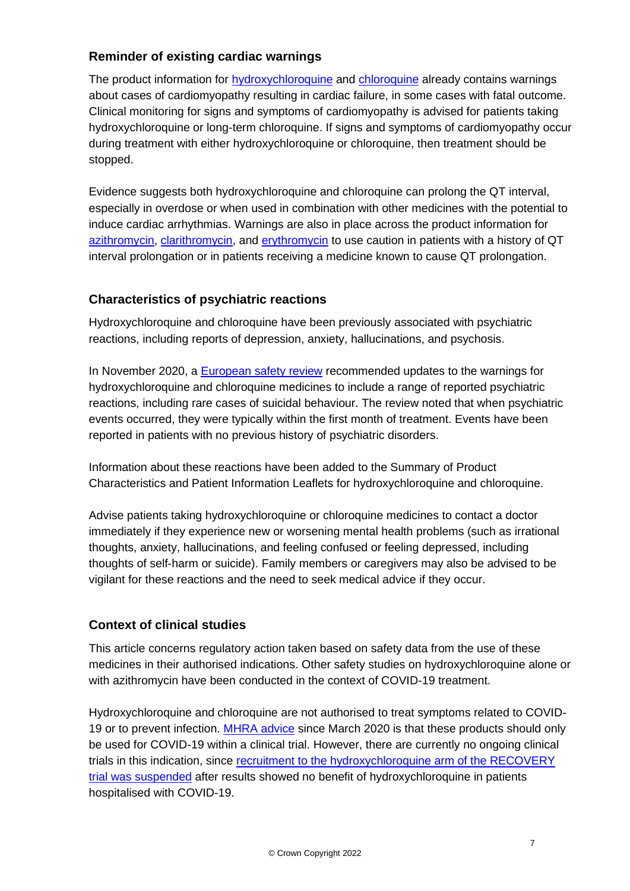### **Reminder of existing cardiac warnings**

The product information for [hydroxychloroquine](https://www.medicines.org.uk/emc/product/1764/smpc) and [chloroquine](https://www.medicines.org.uk/emc/product/5490/smpc) already contains warnings about cases of cardiomyopathy resulting in cardiac failure, in some cases with fatal outcome. Clinical monitoring for signs and symptoms of cardiomyopathy is advised for patients taking hydroxychloroquine or long-term chloroquine. If signs and symptoms of cardiomyopathy occur during treatment with either hydroxychloroquine or chloroquine, then treatment should be stopped.

Evidence suggests both hydroxychloroquine and chloroquine can prolong the QT interval, especially in overdose or when used in combination with other medicines with the potential to induce cardiac arrhythmias. Warnings are also in place across the product information for [azithromycin,](https://www.medicines.org.uk/emc/product/6541/smpc#gref) [clarithromycin,](https://www.medicines.org.uk/emc/product/7072/smpc#gref) and [erythromycin](https://www.gov.uk/drug-safety-update/erythromycin-caution-required-due-to-cardiac-risks-qt-interval-prolongation-drug-interaction-with-rivaroxaban) to use caution in patients with a history of QT interval prolongation or in patients receiving a medicine known to cause QT prolongation.

### **Characteristics of psychiatric reactions**

Hydroxychloroquine and chloroquine have been previously associated with psychiatric reactions, including reports of depression, anxiety, hallucinations, and psychosis.

In November 2020, a [European safety review](https://www.ema.europa.eu/en/news/meeting-highlights-pharmacovigilance-risk-assessment-committee-prac-23-26-november-2020) recommended updates to the warnings for hydroxychloroquine and chloroquine medicines to include a range of reported psychiatric reactions, including rare cases of suicidal behaviour. The review noted that when psychiatric events occurred, they were typically within the first month of treatment. Events have been reported in patients with no previous history of psychiatric disorders.

Information about these reactions have been added to the Summary of Product Characteristics and Patient Information Leaflets for hydroxychloroquine and chloroquine.

Advise patients taking hydroxychloroquine or chloroquine medicines to contact a doctor immediately if they experience new or worsening mental health problems (such as irrational thoughts, anxiety, hallucinations, and feeling confused or feeling depressed, including thoughts of self-harm or suicide). Family members or caregivers may also be advised to be vigilant for these reactions and the need to seek medical advice if they occur.

# **Context of clinical studies**

This article concerns regulatory action taken based on safety data from the use of these medicines in their authorised indications. Other safety studies on hydroxychloroquine alone or with azithromycin have been conducted in the context of COVID-19 treatment.

Hydroxychloroquine and chloroquine are not authorised to treat symptoms related to COVID-19 or to prevent infection. [MHRA advice](https://www.gov.uk/government/news/chloroquine-and-hydroxychloroquine-not-licensed-for-coronavirus-covid-19-treatment) since March 2020 is that these products should only be used for COVID-19 within a clinical trial. However, there are currently no ongoing clinical trials in this indication, since [recruitment to the hydroxychloroquine arm of the RECOVERY](https://www.gov.uk/government/news/mhra-suspends-recruitment-to-covid-19-hydroxychloroquine-trials)  [trial](https://www.gov.uk/government/news/mhra-suspends-recruitment-to-covid-19-hydroxychloroquine-trials) [was suspended](https://www.gov.uk/government/news/mhra-suspends-recruitment-to-covid-19-hydroxychloroquine-trials) after results showed no benefit of hydroxychloroquine in patients hospitalised with COVID-19.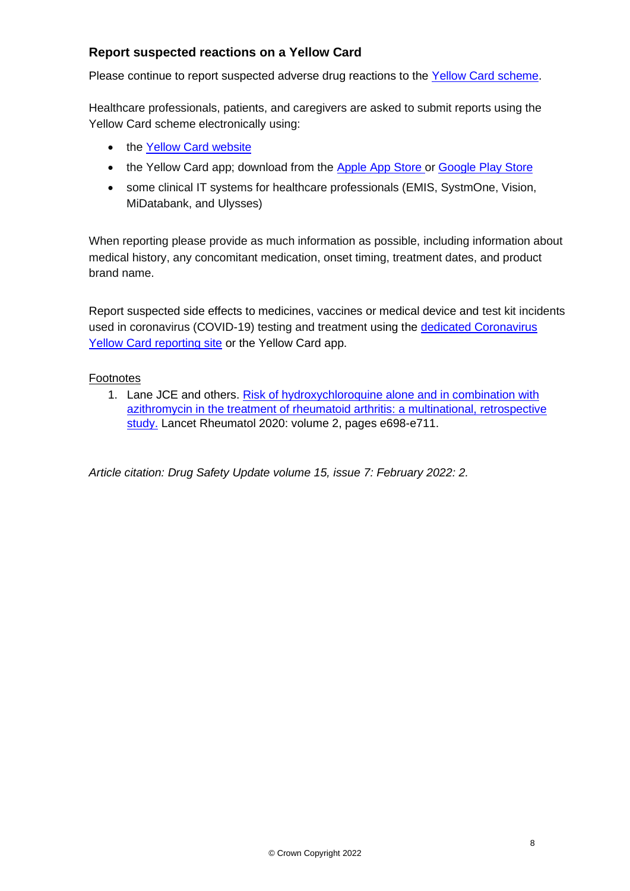### **Report suspected reactions on a Yellow Card**

Please continue to report suspected adverse drug reactions to the [Yellow Card scheme.](https://yellowcard.mhra.gov.uk/)

Healthcare professionals, patients, and caregivers are asked to submit reports using the Yellow Card scheme electronically using:

- the Yellow Card [website](https://yellowcard.mhra.gov.uk/)
- the Yellow Card app; download from the [Apple](https://itunes.apple.com/us/app/apple-store/id990237487?pt=117756671&ct=EYC&mt=8) App Store or [Google](https://play.google.com/store/apps/details?id=uk.org.mhra.yellowcard&referrer=utm_source%3DEYC%26utm_medium%3Dcpc%26anid%3Dadmob) Play Store
- some clinical IT systems for healthcare professionals (EMIS, SystmOne, Vision, MiDatabank, and Ulysses)

When reporting please provide as much information as possible, including information about medical history, any concomitant medication, onset timing, treatment dates, and product brand name.

Report suspected side effects to medicines, vaccines or medical device and test kit incidents used in coronavirus (COVID-19) testing and treatment using the [dedicated Coronavirus](https://coronavirus-yellowcard.mhra.gov.uk/)  [Yellow Card reporting site](https://coronavirus-yellowcard.mhra.gov.uk/) or the Yellow Card app.

#### **Footnotes**

1. Lane JCE and others. [Risk of hydroxychloroquine alone and in combination with](https://www.thelancet.com/journals/lanrhe/article/PIIS2665-9913(20)30276-9/fulltext)  [azithromycin in the treatment of rheumatoid arthritis: a multinational, retrospective](https://www.thelancet.com/journals/lanrhe/article/PIIS2665-9913(20)30276-9/fulltext)  [study.](https://www.thelancet.com/journals/lanrhe/article/PIIS2665-9913(20)30276-9/fulltext) Lancet Rheumatol 2020: volume 2, pages e698-e711.

*Article citation: Drug Safety Update volume 15, issue 7: February 2022: 2.*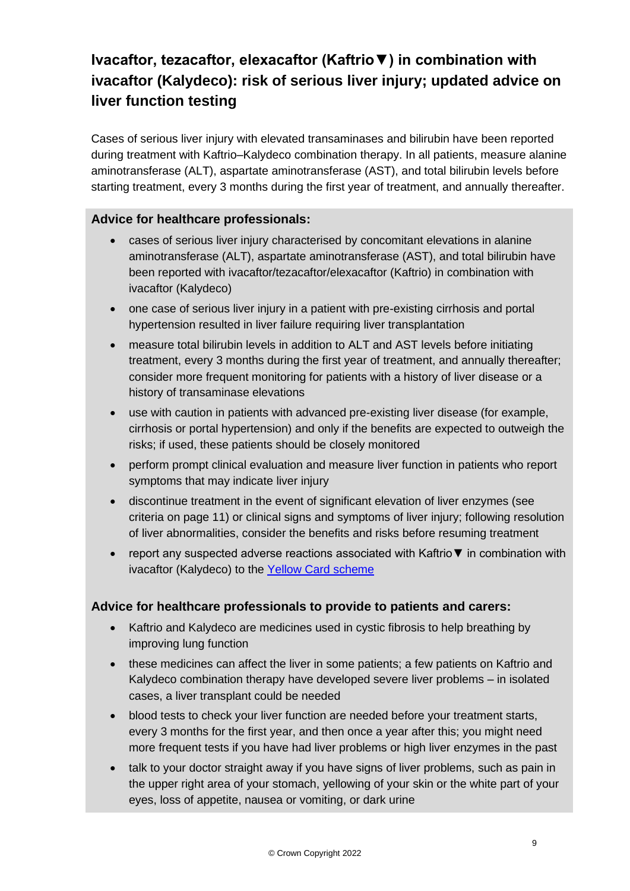# **Ivacaftor, tezacaftor, elexacaftor (Kaftrio▼) in combination with ivacaftor (Kalydeco): risk of serious liver injury; updated advice on liver function testing**

Cases of serious liver injury with elevated transaminases and bilirubin have been reported during treatment with Kaftrio–Kalydeco combination therapy. In all patients, measure alanine aminotransferase (ALT), aspartate aminotransferase (AST), and total bilirubin levels before starting treatment, every 3 months during the first year of treatment, and annually thereafter.

#### **Advice for healthcare professionals:**

- cases of serious liver injury characterised by concomitant elevations in alanine aminotransferase (ALT), aspartate aminotransferase (AST), and total bilirubin have been reported with ivacaftor/tezacaftor/elexacaftor (Kaftrio) in combination with ivacaftor (Kalydeco)
- one case of serious liver injury in a patient with pre-existing cirrhosis and portal hypertension resulted in liver failure requiring liver transplantation
- measure total bilirubin levels in addition to ALT and AST levels before initiating treatment, every 3 months during the first year of treatment, and annually thereafter; consider more frequent monitoring for patients with a history of liver disease or a history of transaminase elevations
- use with caution in patients with advanced pre-existing liver disease (for example, cirrhosis or portal hypertension) and only if the benefits are expected to outweigh the risks; if used, these patients should be closely monitored
- perform prompt clinical evaluation and measure liver function in patients who report symptoms that may indicate liver injury
- discontinue treatment in the event of significant elevation of liver enzymes (see criteria on page 11) or clinical signs and symptoms of liver injury; following resolution of liver abnormalities, consider the benefits and risks before resuming treatment
- report any suspected adverse reactions associated with Kaftrio▼ in combination with ivacaftor (Kalydeco) to the [Yellow Card scheme](http://www.mhra.gov.uk/yellowcard)

### **Advice for healthcare professionals to provide to patients and carers:**

- Kaftrio and Kalydeco are medicines used in cystic fibrosis to help breathing by improving lung function
- these medicines can affect the liver in some patients; a few patients on Kaftrio and Kalydeco combination therapy have developed severe liver problems – in isolated cases, a liver transplant could be needed
- blood tests to check your liver function are needed before your treatment starts, every 3 months for the first year, and then once a year after this; you might need more frequent tests if you have had liver problems or high liver enzymes in the past
- talk to your doctor straight away if you have signs of liver problems, such as pain in the upper right area of your stomach, yellowing of your skin or the white part of your eyes, loss of appetite, nausea or vomiting, or dark urine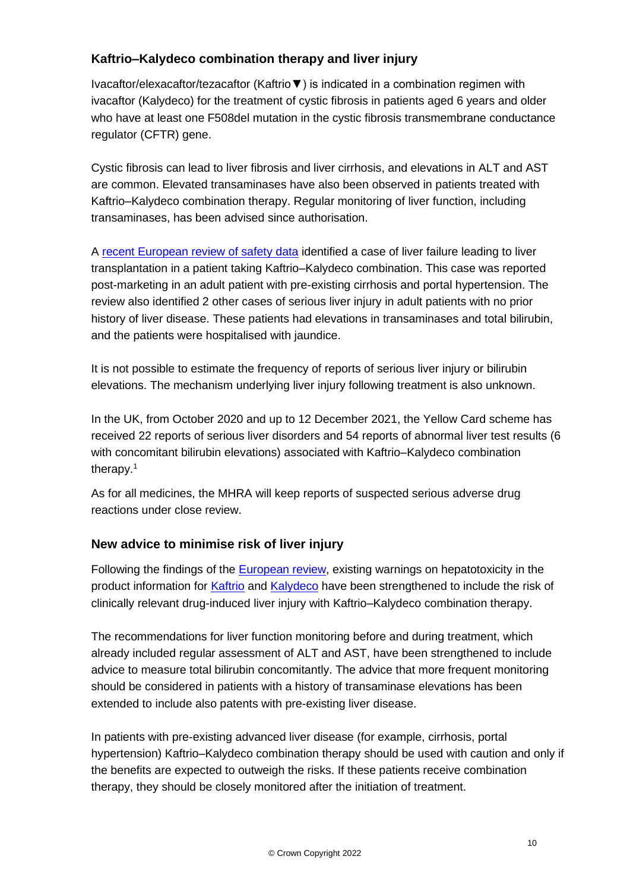# **Kaftrio–Kalydeco combination therapy and liver injury**

Ivacaftor/elexacaftor/tezacaftor (Kaftrio▼) is indicated in a combination regimen with ivacaftor (Kalydeco) for the treatment of cystic fibrosis in patients aged 6 years and older who have at least one F508del mutation in the cystic fibrosis transmembrane conductance regulator (CFTR) gene.

Cystic fibrosis can lead to liver fibrosis and liver cirrhosis, and elevations in ALT and AST are common. Elevated transaminases have also been observed in patients treated with Kaftrio–Kalydeco combination therapy. Regular monitoring of liver function, including transaminases, has been advised since authorisation.

A [recent European review of safety data](https://www.ema.europa.eu/en/documents/procedural-steps-after/kaftrio-epar-procedural-steps-taken-scientific-information-after-authorisation_en.pdf) identified a case of liver failure leading to liver transplantation in a patient taking Kaftrio–Kalydeco combination. This case was reported post-marketing in an adult patient with pre-existing cirrhosis and portal hypertension. The review also identified 2 other cases of serious liver injury in adult patients with no prior history of liver disease. These patients had elevations in transaminases and total bilirubin, and the patients were hospitalised with jaundice.

It is not possible to estimate the frequency of reports of serious liver injury or bilirubin elevations. The mechanism underlying liver injury following treatment is also unknown.

In the UK, from October 2020 and up to 12 December 2021, the Yellow Card scheme has received 22 reports of serious liver disorders and 54 reports of abnormal liver test results (6 with concomitant bilirubin elevations) associated with Kaftrio–Kalydeco combination therapy. 1

As for all medicines, the MHRA will keep reports of suspected serious adverse drug reactions under close review.

# **New advice to minimise risk of liver injury**

Following the findings of the [European review,](https://www.ema.europa.eu/en/documents/procedural-steps-after/kaftrio-epar-procedural-steps-taken-scientific-information-after-authorisation_en.pdf) existing warnings on hepatotoxicity in the product information for [Kaftrio](https://www.medicines.org.uk/emc/product/11724/smpc) and [Kalydeco](https://www.medicines.org.uk/emc/product/3040/smpc) have been strengthened to include the risk of clinically relevant drug-induced liver injury with Kaftrio–Kalydeco combination therapy.

The recommendations for liver function monitoring before and during treatment, which already included regular assessment of ALT and AST, have been strengthened to include advice to measure total bilirubin concomitantly. The advice that more frequent monitoring should be considered in patients with a history of transaminase elevations has been extended to include also patents with pre-existing liver disease.

In patients with pre-existing advanced liver disease (for example, cirrhosis, portal hypertension) Kaftrio–Kalydeco combination therapy should be used with caution and only if the benefits are expected to outweigh the risks. If these patients receive combination therapy, they should be closely monitored after the initiation of treatment.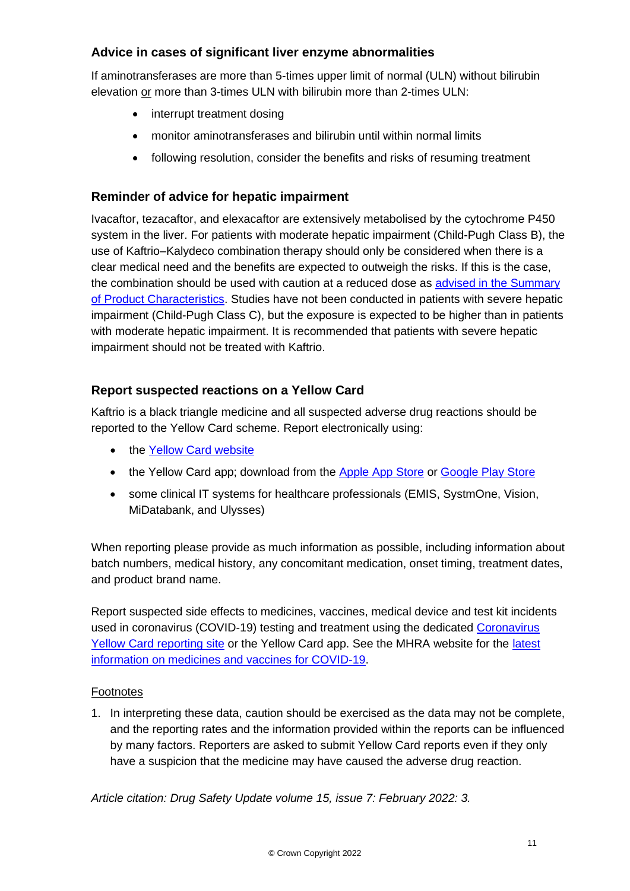# **Advice in cases of significant liver enzyme abnormalities**

If aminotransferases are more than 5-times upper limit of normal (ULN) without bilirubin elevation or more than 3-times ULN with bilirubin more than 2-times ULN:

- interrupt treatment dosing
- monitor aminotransferases and bilirubin until within normal limits
- following resolution, consider the benefits and risks of resuming treatment

# **Reminder of advice for hepatic impairment**

Ivacaftor, tezacaftor, and elexacaftor are extensively metabolised by the cytochrome P450 system in the liver. For patients with moderate hepatic impairment (Child-Pugh Class B), the use of Kaftrio–Kalydeco combination therapy should only be considered when there is a clear medical need and the benefits are expected to outweigh the risks. If this is the case, the combination should be used with caution at a reduced dose as advised in the Summary [of Product Characteristics.](https://www.medicines.org.uk/emc/product/11724/smpc#POSOLOGY) Studies have not been conducted in patients with severe hepatic impairment (Child-Pugh Class C), but the exposure is expected to be higher than in patients with moderate hepatic impairment. It is recommended that patients with severe hepatic impairment should not be treated with Kaftrio.

# **Report suspected reactions on a Yellow Card**

Kaftrio is a black triangle medicine and all suspected adverse drug reactions should be reported to the Yellow Card scheme. Report electronically using:

- the [Yellow Card website](https://yellowcard.mhra.gov.uk/)
- the Yellow Card app; download from the [Apple App Store](https://itunes.apple.com/us/app/apple-store/id990237487?pt=117756671&ct=EYC&mt=8) or [Google Play Store](https://play.google.com/store/apps/details?id=uk.org.mhra.yellowcard&referrer=utm_source%3DEYC%26utm_medium%3Dcpc%26anid%3Dadmob)
- some clinical IT systems for healthcare professionals (EMIS, SystmOne, Vision, MiDatabank, and Ulysses)

When reporting please provide as much information as possible, including information about batch numbers, medical history, any concomitant medication, onset timing, treatment dates, and product brand name.

Report suspected side effects to medicines, vaccines, medical device and test kit incidents used in coronavirus (COVID-19) testing and treatment using the dedicated [Coronavirus](https://coronavirus-yellowcard.mhra.gov.uk/)  [Yellow Card reporting site](https://coronavirus-yellowcard.mhra.gov.uk/) or the Yellow Card app. See the MHRA website for the [latest](https://www.gov.uk/government/collections/mhra-guidance-on-coronavirus-covid-19)  [information on medicines and vaccines for COVID-19.](https://www.gov.uk/government/collections/mhra-guidance-on-coronavirus-covid-19)

### Footnotes

1. In interpreting these data, caution should be exercised as the data may not be complete, and the reporting rates and the information provided within the reports can be influenced by many factors. Reporters are asked to submit Yellow Card reports even if they only have a suspicion that the medicine may have caused the adverse drug reaction.

*Article citation: Drug Safety Update volume 15, issue 7: February 2022: 3.*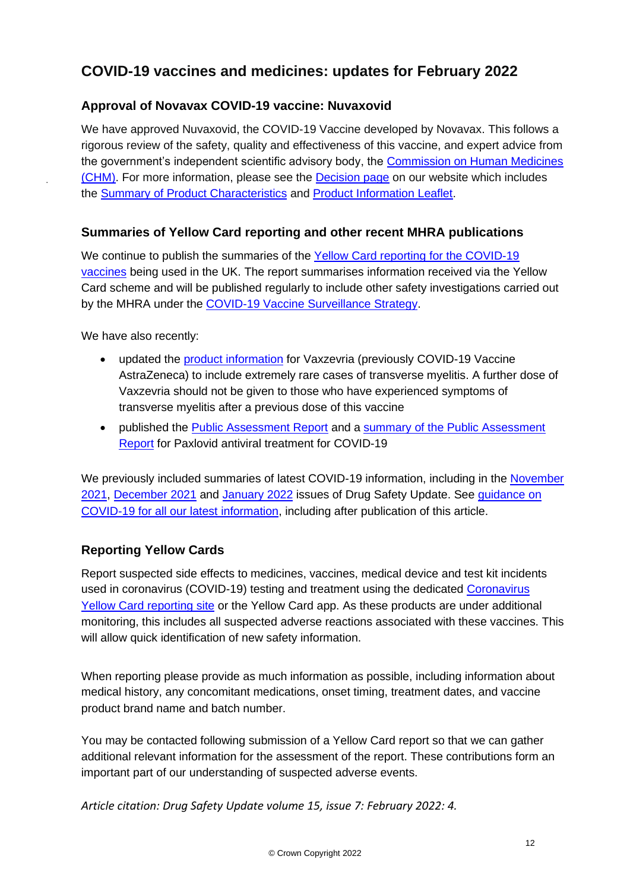# **COVID-19 vaccines and medicines: updates for February 2022**

# **Approval of Novavax COVID-19 vaccine: Nuvaxovid**

We have approved Nuvaxovid, the COVID-19 Vaccine developed by Novavax. This follows a rigorous review of the safety, quality and effectiveness of this vaccine, and expert advice from the government's independent scientific advisory body, the [Commission on Human Medicines](https://www.gov.uk/government/organisations/commission-on-human-medicines)  [\(CHM\).](https://www.gov.uk/government/organisations/commission-on-human-medicines) For more information, please see the [Decision page](https://www.gov.uk/government/publications/regulatory-approval-of-covid-19-vaccine-nuvaxovid/product-information-leaflet-pil-for-nuvaxovid-dispersion-for-injection) on our website which includes the [Summary of Product Characteristics](https://www.gov.uk/government/publications/regulatory-approval-of-covid-19-vaccine-nuvaxovid/summary-of-product-characteristics-for-nuvaxovid-dispersion-for-injection) and [Product Information Leaflet.](https://www.gov.uk/government/publications/regulatory-approval-of-covid-19-vaccine-nuvaxovid/product-information-leaflet-pil-for-nuvaxovid-dispersion-for-injection)

# **Summaries of Yellow Card reporting and other recent MHRA publications**

We continue to publish the summaries of the Yellow Card reporting for the COVID-19 [vaccines](https://www.gov.uk/government/publications/coronavirus-covid-19-vaccine-adverse-reactions/coronavirus-vaccine-summary-of-yellow-card-reporting) being used in the UK. The report summarises information received via the Yellow Card scheme and will be published regularly to include other safety investigations carried out by the MHRA under the [COVID-19 Vaccine Surveillance Strategy.](https://www.gov.uk/government/publications/report-of-the-commission-on-human-medicines-expert-working-group-on-covid-19-vaccine-safety-surveillance)

We have also recently:

.

- updated the [product information](https://www.gov.uk/government/publications/regulatory-approval-of-covid-19-vaccine-astrazeneca) for Vaxzevria (previously COVID-19 Vaccine AstraZeneca) to include extremely rare cases of transverse myelitis. A further dose of Vaxzevria should not be given to those who have experienced symptoms of transverse myelitis after a previous dose of this vaccine
- published the [Public Assessment Report](https://assets.publishing.service.gov.uk/government/uploads/system/uploads/attachment_data/file/1053764/Public_Assessment_Report__PAR__for_Paxlovid_150_mg_100_mg_film-coated_tablets.pdf) and a [summary of the Public Assessment](https://www.gov.uk/government/publications/regulatory-approval-of-paxlovid/summary-of-the-public-assessment-report-par-for-paxlovid-150-mg100-mg-film-coated-tablets)  [Report](https://www.gov.uk/government/publications/regulatory-approval-of-paxlovid/summary-of-the-public-assessment-report-par-for-paxlovid-150-mg100-mg-film-coated-tablets) for Paxlovid antiviral treatment for COVID-19

We previously included summaries of latest COVID-19 information, including in the November [2021,](https://www.gov.uk/drug-safety-update/covid-19-vaccines-and-medicines-updates-for-november-2021) [December 2021](https://www.gov.uk/drug-safety-update/covid-19-vaccines-and-medicines-updates-for-december-2021) and [January 2022](https://www.gov.uk/drug-safety-update/covid-19-vaccines-and-medicines-updates-for-january-2022) issues of Drug Safety Update. See [guidance on](https://www.gov.uk/government/collections/mhra-guidance-on-coronavirus-covid-19)  [COVID-19 for all our latest information,](https://www.gov.uk/government/collections/mhra-guidance-on-coronavirus-covid-19) including after publication of this article.

# **Reporting Yellow Cards**

Report suspected side effects to medicines, vaccines, medical device and test kit incidents used in coronavirus (COVID-19) testing and treatment using the dedicated [Coronavirus](https://coronavirus-yellowcard.mhra.gov.uk/)  [Yellow Card reporting site](https://coronavirus-yellowcard.mhra.gov.uk/) or the Yellow Card app. As these products are under additional monitoring, this includes all suspected adverse reactions associated with these vaccines. This will allow quick identification of new safety information.

When reporting please provide as much information as possible, including information about medical history, any concomitant medications, onset timing, treatment dates, and vaccine product brand name and batch number.

You may be contacted following submission of a Yellow Card report so that we can gather additional relevant information for the assessment of the report. These contributions form an important part of our understanding of suspected adverse events.

*Article citation: Drug Safety Update volume 15, issue 7: February 2022: 4.*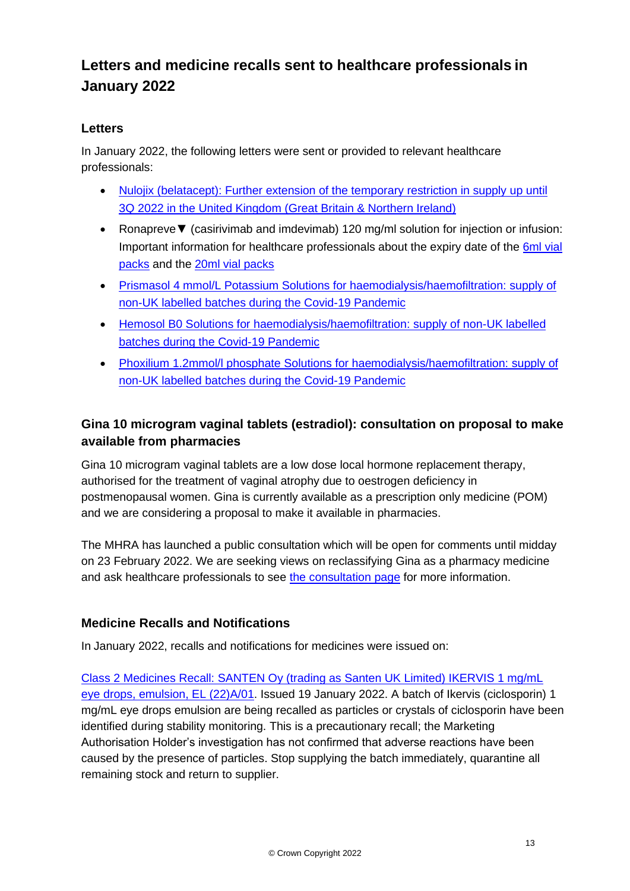# **Letters and medicine recalls sent to healthcare professionals in January 2022**

### **Letters**

In January 2022, the following letters were sent or provided to relevant healthcare professionals:

- Nulojix (belatacept): Further extension of the temporary restriction in supply up until [3Q 2022 in the United Kingdom \(Great Britain & Northern Ireland\)](https://assets.publishing.service.gov.uk/media/620a6e9de90e0710abe648be/Nulojix_UK_DHCP_LETTER_-_17_JAN_2022.pdf)
- Ronapreve▼ (casirivimab and imdevimab) 120 mg/ml solution for injection or infusion: Important information for healthcare professionals about the expiry date of the [6ml vial](https://assets.publishing.service.gov.uk/media/620a6ec08fa8f5490cf51164/Ronapreve_6ml_DHPC_24_JAN_2022.pdf)  [packs](https://assets.publishing.service.gov.uk/media/620a6ec08fa8f5490cf51164/Ronapreve_6ml_DHPC_24_JAN_2022.pdf) and the [20ml vial packs](https://assets.publishing.service.gov.uk/media/620a6ed3e90e0710a7b3ffc1/DHPC_Ronapreve_20ml_27_JAN_2022.pdf)
- [Prismasol 4 mmol/L Potassium Solutions for haemodialysis/haemofiltration: supply of](https://assets.publishing.service.gov.uk/media/620a6ee88fa8f5491267506f/DHPC-prismasol-31Jan2022.pdf)  [non-UK labelled batches during the Covid-19 Pandemic](https://assets.publishing.service.gov.uk/media/620a6ee88fa8f5491267506f/DHPC-prismasol-31Jan2022.pdf)
- [Hemosol B0 Solutions for haemodialysis/haemofiltration: supply of non-UK labelled](https://assets.publishing.service.gov.uk/media/620a6ef48fa8f5490d52ed5e/DHPC-hemosolb0-31Jan2022.pdf)  [batches during the Covid-19 Pandemic](https://assets.publishing.service.gov.uk/media/620a6ef48fa8f5490d52ed5e/DHPC-hemosolb0-31Jan2022.pdf)
- Phoxilium 1.2mmol/I phosphate Solutions for haemodialysis/haemofiltration: supply of [non-UK labelled batches during the Covid-19 Pandemic](https://assets.publishing.service.gov.uk/media/620a6f188fa8f549069a6471/DHPC_-phoxilium-31Jan2022.pdf)

# **Gina 10 microgram vaginal tablets (estradiol): consultation on proposal to make available from pharmacies**

Gina 10 microgram vaginal tablets are a low dose local hormone replacement therapy, authorised for the treatment of vaginal atrophy due to oestrogen deficiency in postmenopausal women. Gina is currently available as a prescription only medicine (POM) and we are considering a proposal to make it available in pharmacies.

The MHRA has launched a public consultation which will be open for comments until midday on 23 February 2022. We are seeking views on reclassifying Gina as a pharmacy medicine and ask healthcare professionals to see [the consultation page](https://www.gov.uk/government/consultations/consultation-on-proposal-to-make-gina-10-microgram-vaginal-tablets-estradiol-available-from-pharmacies) for more information.

### **Medicine Recalls and Notifications**

In January 2022, recalls and notifications for medicines were issued on:

[Class 2 Medicines Recall: SANTEN Oy \(trading as Santen UK Limited\) IKERVIS 1 mg/mL](https://www.gov.uk/drug-device-alerts/class-2-medicines-recall-santen-oy-trading-as-santen-uk-limited-ikervis-1-mg-slash-ml-eye-drops-emulsion-el-22-a-slash-01) [eye drops, emulsion, EL \(22\)A/01.](https://www.gov.uk/drug-device-alerts/class-2-medicines-recall-santen-oy-trading-as-santen-uk-limited-ikervis-1-mg-slash-ml-eye-drops-emulsion-el-22-a-slash-01) Issued 19 January 2022. A batch of Ikervis (ciclosporin) 1 mg/mL eye drops emulsion are being recalled as particles or crystals of ciclosporin have been identified during stability monitoring. This is a precautionary recall; the Marketing Authorisation Holder's investigation has not confirmed that adverse reactions have been caused by the presence of particles. Stop supplying the batch immediately, quarantine all remaining stock and return to supplier.